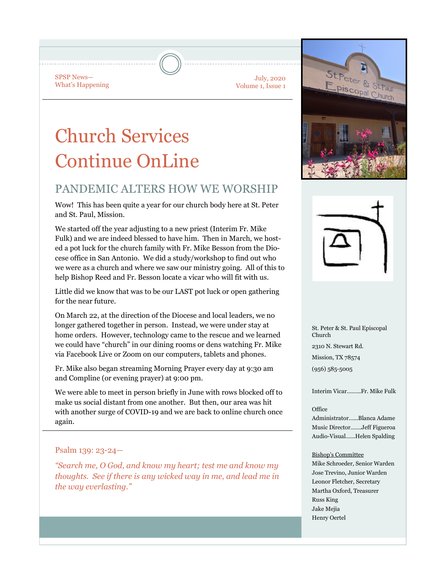SPSP News— What's Happening

July, 2020 Volume 1, Issue 1

# Church Services Continue OnLine

## PANDEMIC ALTERS HOW WE WORSHIP

Wow! This has been quite a year for our church body here at St. Peter and St. Paul, Mission.

We started off the year adjusting to a new priest (Interim Fr. Mike Fulk) and we are indeed blessed to have him. Then in March, we hosted a pot luck for the church family with Fr. Mike Besson from the Diocese office in San Antonio. We did a study/workshop to find out who we were as a church and where we saw our ministry going. All of this to help Bishop Reed and Fr. Besson locate a vicar who will fit with us.

Little did we know that was to be our LAST pot luck or open gathering for the near future.

On March 22, at the direction of the Diocese and local leaders, we no longer gathered together in person. Instead, we were under stay at home orders. However, technology came to the rescue and we learned we could have "church" in our dining rooms or dens watching Fr. Mike via Facebook Live or Zoom on our computers, tablets and phones.

Fr. Mike also began streaming Morning Prayer every day at 9:30 am and Compline (or evening prayer) at 9:00 pm.

We were able to meet in person briefly in June with rows blocked off to make us social distant from one another. But then, our area was hit with another surge of COVID-19 and we are back to online church once again.

## Psalm 139: 23-24—

*"Search me, O God, and know my heart; test me and know my thoughts. See if there is any wicked way in me, and lead me in the way everlasting."*





St. Peter & St. Paul Episcopal Church 2310 N. Stewart Rd. Mission, TX 78574 (956) 585-5005

Interim Vicar….…..Fr. Mike Fulk

#### Office Administrator…...Blanca Adame Music Director…….Jeff Figueroa Audio-Visual…...Helen Spalding

#### Bishop's Committee

Mike Schroeder, Senior Warden Jose Trevino, Junior Warden Leonor Fletcher, Secretary Martha Oxford, Treasurer Russ King Jake Mejia Henry Oertel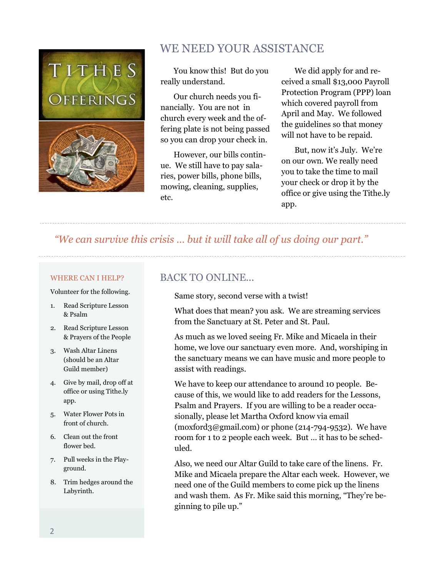

# WE NEED YOUR ASSISTANCE

You know this! But do you really understand.

Our church needs you financially. You are not in church every week and the offering plate is not being passed so you can drop your check in.

However, our bills continue. We still have to pay salaries, power bills, phone bills, mowing, cleaning, supplies, etc.

We did apply for and received a small \$13,000 Payroll Protection Program (PPP) loan which covered payroll from April and May. We followed the guidelines so that money will not have to be repaid.

But, now it's July. We're on our own. We really need you to take the time to mail your check or drop it by the office or give using the Tithe.ly app.

## *"We can survive this crisis … but it will take all of us doing our part."*

### WHERE CAN I HELP?

Volunteer for the following.

- 1. Read Scripture Lesson & Psalm
- 2. Read Scripture Lesson & Prayers of the People
- 3. Wash Altar Linens (should be an Altar Guild member)
- 4. Give by mail, drop off at office or using Tithe.ly app.
- 5. Water Flower Pots in front of church.
- 6. Clean out the front flower bed.
- 7. Pull weeks in the Playground.
- 8. Trim hedges around the Labyrinth.

## BACK TO ONLINE...

Same story, second verse with a twist!

What does that mean? you ask. We are streaming services from the Sanctuary at St. Peter and St. Paul.

As much as we loved seeing Fr. Mike and Micaela in their home, we love our sanctuary even more. And, worshiping in the sanctuary means we can have music and more people to assist with readings.

We have to keep our attendance to around 10 people. Because of this, we would like to add readers for the Lessons, Psalm and Prayers. If you are willing to be a reader occasionally, please let Martha Oxford know via email  $(moxford3@gmail.com)$  or phone (214-794-9532). We have room for 1 to 2 people each week. But … it has to be scheduled.

Also, we need our Altar Guild to take care of the linens. Fr. Mike and Micaela prepare the Altar each week. However, we need one of the Guild members to come pick up the linens and wash them. As Fr. Mike said this morning, "They're beginning to pile up."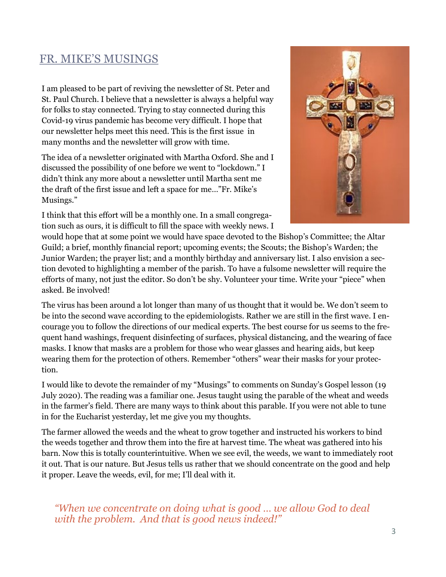# FR. MIKE'S MUSINGS

I am pleased to be part of reviving the newsletter of St. Peter and St. Paul Church. I believe that a newsletter is always a helpful way for folks to stay connected. Trying to stay connected during this Covid-19 virus pandemic has become very difficult. I hope that our newsletter helps meet this need. This is the first issue in many months and the newsletter will grow with time.

The idea of a newsletter originated with Martha Oxford. She and I discussed the possibility of one before we went to "lockdown." I didn't think any more about a newsletter until Martha sent me the draft of the first issue and left a space for me…"Fr. Mike's Musings."

I think that this effort will be a monthly one. In a small congregation such as ours, it is difficult to fill the space with weekly news. I



would hope that at some point we would have space devoted to the Bishop's Committee; the Altar Guild; a brief, monthly financial report; upcoming events; the Scouts; the Bishop's Warden; the Junior Warden; the prayer list; and a monthly birthday and anniversary list. I also envision a section devoted to highlighting a member of the parish. To have a fulsome newsletter will require the efforts of many, not just the editor. So don't be shy. Volunteer your time. Write your "piece" when asked. Be involved!

The virus has been around a lot longer than many of us thought that it would be. We don't seem to be into the second wave according to the epidemiologists. Rather we are still in the first wave. I encourage you to follow the directions of our medical experts. The best course for us seems to the frequent hand washings, frequent disinfecting of surfaces, physical distancing, and the wearing of face masks. I know that masks are a problem for those who wear glasses and hearing aids, but keep wearing them for the protection of others. Remember "others" wear their masks for your protection.

I would like to devote the remainder of my "Musings" to comments on Sunday's Gospel lesson (19 July 2020). The reading was a familiar one. Jesus taught using the parable of the wheat and weeds in the farmer's field. There are many ways to think about this parable. If you were not able to tune in for the Eucharist yesterday, let me give you my thoughts.

The farmer allowed the weeds and the wheat to grow together and instructed his workers to bind the weeds together and throw them into the fire at harvest time. The wheat was gathered into his barn. Now this is totally counterintuitive. When we see evil, the weeds, we want to immediately root it out. That is our nature. But Jesus tells us rather that we should concentrate on the good and help it proper. Leave the weeds, evil, for me; I'll deal with it.

*"When we concentrate on doing what is good … we allow God to deal with the problem. And that is good news indeed!"*